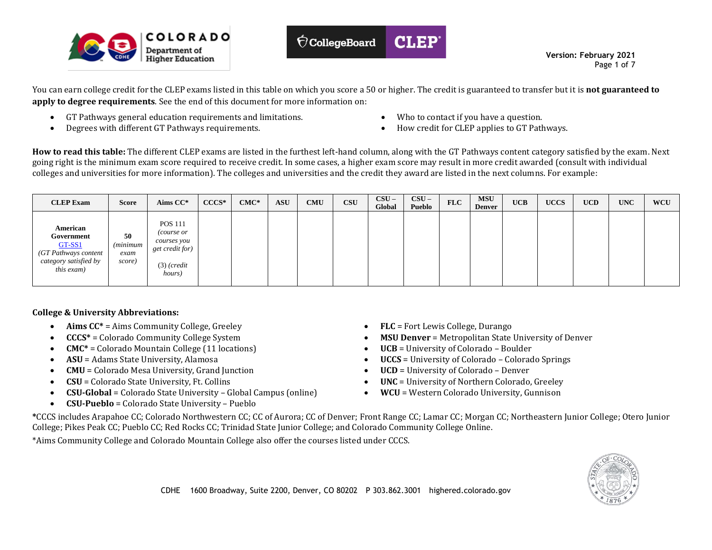



 **Version: February 2021** Page 1 of 7

You can earn college credit for the CLEP exams listed in this table on which you score a 50 or higher. The credit is guaranteed to transfer but it is **not guaranteed to apply to degree requirements**. See the end of this document for more information on:

- GT Pathways general education requirements and limitations.
- Degrees with different GT Pathways requirements.
- Who to contact if you have a question.
- How credit for CLEP applies to GT Pathways.

**How to read this table:** The different CLEP exams are listed in the furthest left-hand column, along with the GT Pathways content category satisfied by the exam. Next going right is the minimum exam score required to receive credit. In some cases, a higher exam score may result in more credit awarded (consult with individual colleges and universities for more information). The colleges and universities and the credit they award are listed in the next columns. For example:

| <b>CLEP Exam</b>                                                                                | <b>Score</b>                      | Aims CC*                                                                                        | $CCCS*$ | $CMC*$ | <b>ASU</b> | <b>CMU</b> | <b>CSU</b> | $CSU -$<br>Global | $CSU -$<br>Pueblo | <b>FLC</b> | <b>MSU</b><br><b>Denver</b> | <b>UCB</b> | <b>UCCS</b> | <b>UCD</b> | <b>UNC</b> | <b>WCU</b> |
|-------------------------------------------------------------------------------------------------|-----------------------------------|-------------------------------------------------------------------------------------------------|---------|--------|------------|------------|------------|-------------------|-------------------|------------|-----------------------------|------------|-------------|------------|------------|------------|
| American<br>Government<br>GT-SS1<br>(GT Pathways content<br>category satisfied by<br>this exam) | 50<br>(minimum)<br>exam<br>score) | <b>POS 111</b><br><i>course or</i><br>courses you<br>get credit for)<br>$(3)$ (credit<br>hours) |         |        |            |            |            |                   |                   |            |                             |            |             |            |            |            |

## **College & University Abbreviations:**

- Aims  $CC^*$  = Aims Community College, Greeley
- **CCCS\*** = Colorado Community College System
- **CMC\*** = Colorado Mountain College (11 locations)
- **ASU** = Adams State University, Alamosa
- **CMU** = Colorado Mesa University, Grand Junction
- **CSU** = Colorado State University, Ft. Collins
- **CSU-Global** = Colorado State University Global Campus (online)
- **CSU-Pueblo** = Colorado State University Pueblo
- **FLC** = Fort Lewis College, Durango
- **MSU Denver** = Metropolitan State University of Denver
- **UCB** = University of Colorado Boulder
- **UCCS** = University of Colorado Colorado Springs
- **UCD** = University of Colorado Denver
- **UNC** = University of Northern Colorado, Greeley
- **WCU** = Western Colorado University, Gunnison

**\***CCCS includes Arapahoe CC; Colorado Northwestern CC; CC of Aurora; CC of Denver; Front Range CC; Lamar CC; Morgan CC; Northeastern Junior College; Otero Junior College; Pikes Peak CC; Pueblo CC; Red Rocks CC; Trinidad State Junior College; and Colorado Community College Online.

\*Aims Community College and Colorado Mountain College also offer the courses listed under CCCS.

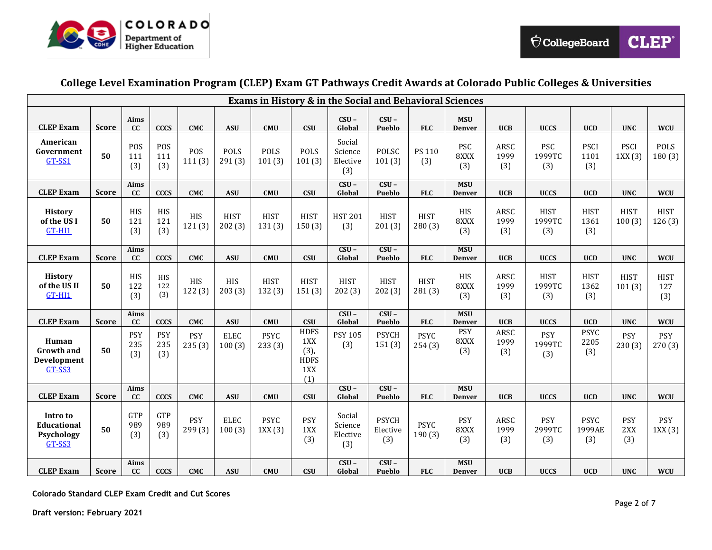

## **College Level Examination Program (CLEP) Exam GT Pathways Credit Awards at Colorado Public Colleges & Universities**

|                                                     | <b>Exams in History &amp; in the Social and Behavioral Sciences</b> |                          |                          |                      |                       |                       |                                                         |                                      |                                     |                       |                             |                     |                              |                              |                          |                           |
|-----------------------------------------------------|---------------------------------------------------------------------|--------------------------|--------------------------|----------------------|-----------------------|-----------------------|---------------------------------------------------------|--------------------------------------|-------------------------------------|-----------------------|-----------------------------|---------------------|------------------------------|------------------------------|--------------------------|---------------------------|
| <b>CLEP Exam</b>                                    | Score                                                               | Aims<br>cc               | <b>CCCS</b>              | <b>CMC</b>           | <b>ASU</b>            | <b>CMU</b>            | <b>CSU</b>                                              | $CSU -$<br>Global                    | $CSU -$<br>Pueblo                   | <b>FLC</b>            | <b>MSU</b><br>Denver        | <b>UCB</b>          | <b>UCCS</b>                  | <b>UCD</b>                   | <b>UNC</b>               | <b>WCU</b>                |
| American<br>Government<br>GT-SS1                    | 50                                                                  | POS<br>111<br>(3)        | POS<br>111<br>(3)        | POS<br>111(3)        | POLS<br>291(3)        | POLS<br>101(3)        | <b>POLS</b><br>101(3)                                   | Social<br>Science<br>Elective<br>(3) | POLSC<br>101(3)                     | PS 110<br>(3)         | <b>PSC</b><br>8XXX<br>(3)   | ARSC<br>1999<br>(3) | <b>PSC</b><br>1999TC<br>(3)  | <b>PSCI</b><br>1101<br>(3)   | <b>PSCI</b><br>1XX(3)    | POLS<br>180(3)            |
| <b>CLEP Exam</b>                                    | <b>Score</b>                                                        | Aims<br><b>CC</b>        | <b>CCCS</b>              | <b>CMC</b>           | <b>ASU</b>            | <b>CMU</b>            | <b>CSU</b>                                              | $CSU -$<br>Global                    | $CSU -$<br>Pueblo                   | <b>FLC</b>            | <b>MSU</b><br><b>Denver</b> | <b>UCB</b>          | <b>UCCS</b>                  | <b>UCD</b>                   | <b>UNC</b>               | <b>WCU</b>                |
| <b>History</b><br>of the US I<br>GT-HI1             | 50                                                                  | HIS<br>121<br>(3)        | HIS<br>121<br>(3)        | HIS<br>121(3)        | <b>HIST</b><br>202(3) | <b>HIST</b><br>131(3) | <b>HIST</b><br>150(3)                                   | <b>HST 201</b><br>(3)                | <b>HIST</b><br>201(3)               | <b>HIST</b><br>280(3) | HIS<br>8XXX<br>(3)          | ARSC<br>1999<br>(3) | <b>HIST</b><br>1999TC<br>(3) | <b>HIST</b><br>1361<br>(3)   | <b>HIST</b><br>100(3)    | <b>HIST</b><br>126(3)     |
| <b>CLEP Exam</b>                                    | <b>Score</b>                                                        | Aims<br>cc               | <b>CCCS</b>              | <b>CMC</b>           | <b>ASU</b>            | <b>CMU</b>            | <b>CSU</b>                                              | $CSU -$<br>Global                    | $CSU -$<br>Pueblo                   | <b>FLC</b>            | <b>MSU</b><br><b>Denver</b> | <b>UCB</b>          | <b>UCCS</b>                  | <b>UCD</b>                   | <b>UNC</b>               | <b>WCU</b>                |
| <b>History</b><br>of the US II<br>GT-HI1            | 50                                                                  | HIS<br>122<br>(3)        | HIS<br>122<br>(3)        | HIS<br>122(3)        | <b>HIS</b><br>203(3)  | <b>HIST</b><br>132(3) | <b>HIST</b><br>151(3)                                   | <b>HIST</b><br>202(3)                | <b>HIST</b><br>202(3)               | <b>HIST</b><br>281(3) | HIS<br>8XXX<br>(3)          | ARSC<br>1999<br>(3) | <b>HIST</b><br>1999TC<br>(3) | <b>HIST</b><br>1362<br>(3)   | <b>HIST</b><br>101(3)    | <b>HIST</b><br>127<br>(3) |
| <b>CLEP Exam</b>                                    | <b>Score</b>                                                        | <b>Aims</b><br>cc        | <b>CCCS</b>              | <b>CMC</b>           | <b>ASU</b>            | <b>CMU</b>            | <b>CSU</b>                                              | $CSU -$<br>Global                    | $CSU -$<br>Pueblo                   | <b>FLC</b>            | <b>MSU</b><br><b>Denver</b> | <b>UCB</b>          | <b>UCCS</b>                  | <b>UCD</b>                   | <b>UNC</b>               | <b>WCU</b>                |
| Human<br><b>Growth and</b><br>Development<br>GT-SS3 | 50                                                                  | PSY<br>235<br>(3)        | <b>PSY</b><br>235<br>(3) | <b>PSY</b><br>235(3) | <b>ELEC</b><br>100(3) | <b>PSYC</b><br>233(3) | <b>HDFS</b><br>1XX<br>(3),<br><b>HDFS</b><br>1XX<br>(1) | <b>PSY 105</b><br>(3)                | <b>PSYCH</b><br>151(3)              | <b>PSYC</b><br>254(3) | PSY<br>8XXX<br>(3)          | ARSC<br>1999<br>(3) | <b>PSY</b><br>1999TC<br>(3)  | <b>PSYC</b><br>2205<br>(3)   | <b>PSY</b><br>230(3)     | <b>PSY</b><br>270(3)      |
| <b>CLEP Exam</b>                                    | <b>Score</b>                                                        | Aims<br>cc               | <b>CCCS</b>              | <b>CMC</b>           | <b>ASU</b>            | <b>CMU</b>            | CSU                                                     | $CSU -$<br>Global                    | $CSU -$<br>Pueblo                   | <b>FLC</b>            | <b>MSU</b><br><b>Denver</b> | <b>UCB</b>          | <b>UCCS</b>                  | <b>UCD</b>                   | <b>UNC</b>               | <b>WCU</b>                |
| Intro to<br>Educational<br>Psychology<br>GT-SS3     | 50                                                                  | <b>GTP</b><br>989<br>(3) | GTP<br>989<br>(3)        | <b>PSY</b><br>299(3) | <b>ELEC</b><br>100(3) | <b>PSYC</b><br>1XX(3) | <b>PSY</b><br>1XX<br>(3)                                | Social<br>Science<br>Elective<br>(3) | <b>PSYCH</b><br>Elective<br>(3)     | <b>PSYC</b><br>190(3) | PSY<br>8XXX<br>(3)          | ARSC<br>1999<br>(3) | <b>PSY</b><br>2999TC<br>(3)  | <b>PSYC</b><br>1999AE<br>(3) | <b>PSY</b><br>2XX<br>(3) | <b>PSY</b><br>1XX(3)      |
| <b>CLEP Exam</b>                                    | <b>Score</b>                                                        | Aims<br>cc               | <b>CCCS</b>              | <b>CMC</b>           | <b>ASU</b>            | <b>CMU</b>            | <b>CSU</b>                                              | $CSU -$<br>Global                    | $\overline{\text{CSU}}$ –<br>Pueblo | <b>FLC</b>            | <b>MSU</b><br><b>Denver</b> | <b>UCB</b>          | <b>UCCS</b>                  | <b>UCD</b>                   | <b>UNC</b>               | <b>WCU</b>                |

**Colorado Standard CLEP Exam Credit and Cut Scores**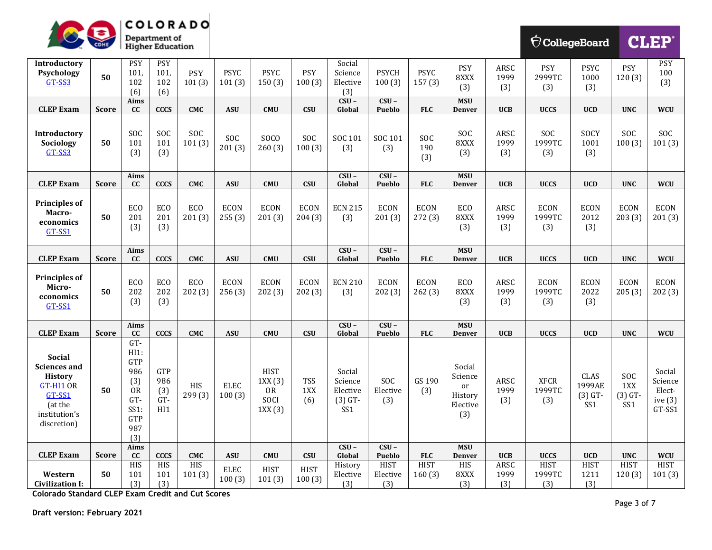

| <u>io,</u>                                                                                                                 | CDHE         |                                                                                                   | Department of<br><b>Higher Education</b> |                       |                       |                                                      |                          |                                                   |                                |                       |                                                       |                     |                              | $\bigcirc$ CollegeBoard            |                                | <b>CLEP®</b>                                       |
|----------------------------------------------------------------------------------------------------------------------------|--------------|---------------------------------------------------------------------------------------------------|------------------------------------------|-----------------------|-----------------------|------------------------------------------------------|--------------------------|---------------------------------------------------|--------------------------------|-----------------------|-------------------------------------------------------|---------------------|------------------------------|------------------------------------|--------------------------------|----------------------------------------------------|
| Introductory<br>Psychology<br>GT-SS3                                                                                       | 50           | <b>PSY</b><br>101,<br>102<br>(6)                                                                  | <b>PSY</b><br>101,<br>102<br>(6)         | <b>PSY</b><br>101(3)  | <b>PSYC</b><br>101(3) | <b>PSYC</b><br>150(3)                                | PSY<br>100(3)            | Social<br>Science<br>Elective<br>(3)              | <b>PSYCH</b><br>100(3)         | <b>PSYC</b><br>157(3) | <b>PSY</b><br>8XXX<br>(3)                             | ARSC<br>1999<br>(3) | PSY<br>2999TC<br>(3)         | <b>PSYC</b><br>1000<br>(3)         | PSY<br>120(3)                  | <b>PSY</b><br>100<br>(3)                           |
| <b>CLEP Exam</b>                                                                                                           | <b>Score</b> | Aims<br>cc                                                                                        | <b>CCCS</b>                              | <b>CMC</b>            | <b>ASU</b>            | <b>CMU</b>                                           | <b>CSU</b>               | $CSU -$<br>Global                                 | $CSU -$<br>Pueblo              | <b>FLC</b>            | <b>MSU</b><br><b>Denver</b>                           | <b>UCB</b>          | <b>UCCS</b>                  | <b>UCD</b>                         | <b>UNC</b>                     | <b>WCU</b>                                         |
| <b>Introductory</b><br>Sociology<br>GT-SS3                                                                                 | 50           | SOC<br>101<br>(3)                                                                                 | SOC<br>101<br>(3)                        | SOC<br>101(3)         | SOC<br>201(3)         | SOCO<br>260(3)                                       | SOC<br>100(3)            | SOC 101<br>(3)                                    | SOC 101<br>(3)                 | SOC<br>190<br>(3)     | SOC<br>8XXX<br>(3)                                    | ARSC<br>1999<br>(3) | SOC<br>1999TC<br>(3)         | SOCY<br>1001<br>(3)                | SOC<br>100(3)                  | SOC<br>101(3)                                      |
| <b>CLEP Exam</b>                                                                                                           | <b>Score</b> | Aims<br>cc                                                                                        | <b>CCCS</b>                              | <b>CMC</b>            | <b>ASU</b>            | <b>CMU</b>                                           | <b>CSU</b>               | $CSU -$<br>Global                                 | $CSU -$<br>Pueblo              | <b>FLC</b>            | <b>MSU</b><br><b>Denver</b>                           | <b>UCB</b>          | <b>UCCS</b>                  | <b>UCD</b>                         | <b>UNC</b>                     | <b>WCU</b>                                         |
| <b>Principles of</b><br>Macro-<br>economics<br>GT-SS1                                                                      | 50           | ECO<br>201<br>(3)                                                                                 | ECO<br>201<br>(3)                        | ECO<br>201(3)         | <b>ECON</b><br>255(3) | <b>ECON</b><br>201(3)                                | <b>ECON</b><br>204(3)    | <b>ECN 215</b><br>(3)                             | <b>ECON</b><br>201(3)          | <b>ECON</b><br>272(3) | <b>ECO</b><br>8XXX<br>(3)                             | ARSC<br>1999<br>(3) | <b>ECON</b><br>1999TC<br>(3) | <b>ECON</b><br>2012<br>(3)         | <b>ECON</b><br>203(3)          | <b>ECON</b><br>201(3)                              |
| <b>CLEP Exam</b>                                                                                                           | <b>Score</b> | Aims<br>cc                                                                                        | <b>CCCS</b>                              | <b>CMC</b>            | <b>ASU</b>            | <b>CMU</b>                                           | <b>CSU</b>               | $CSU -$<br>Global                                 | $CSU -$<br>Pueblo              | <b>FLC</b>            | <b>MSU</b><br><b>Denver</b>                           | <b>UCB</b>          | <b>UCCS</b>                  | <b>UCD</b>                         | <b>UNC</b>                     | <b>WCU</b>                                         |
| <b>Principles of</b><br>Micro-<br>economics<br>GT-SS1                                                                      | 50           | <b>ECO</b><br>202<br>(3)                                                                          | <b>ECO</b><br>202<br>(3)                 | <b>ECO</b><br>202(3)  | <b>ECON</b><br>256(3) | <b>ECON</b><br>202(3)                                | <b>ECON</b><br>202(3)    | <b>ECN 210</b><br>(3)                             | <b>ECON</b><br>202(3)          | <b>ECON</b><br>262(3) | ECO<br>8XXX<br>(3)                                    | ARSC<br>1999<br>(3) | <b>ECON</b><br>1999TC<br>(3) | <b>ECON</b><br>2022<br>(3)         | <b>ECON</b><br>205(3)          | <b>ECON</b><br>202(3)                              |
| <b>CLEP Exam</b>                                                                                                           | <b>Score</b> | Aims<br>cc                                                                                        | <b>CCCS</b>                              | <b>CMC</b>            | <b>ASU</b>            | <b>CMU</b>                                           | <b>CSU</b>               | $CSU -$<br>Global                                 | $CSU -$<br>Pueblo              | <b>FLC</b>            | <b>MSU</b><br><b>Denver</b>                           | <b>UCB</b>          | <b>UCCS</b>                  | <b>UCD</b>                         | <b>UNC</b>                     | <b>WCU</b>                                         |
| <b>Social</b><br><b>Sciences and</b><br><b>History</b><br>$GT-HI1$ OR<br>GT-SS1<br>(at the<br>institution's<br>discretion) | 50           | $GT-$<br>H11:<br><b>GTP</b><br>986<br>(3)<br><b>OR</b><br>GT-<br>SS1:<br><b>GTP</b><br>987<br>(3) | GTP<br>986<br>(3)<br>$GT-$<br>HI1        | <b>HIS</b><br>299 (3) | <b>ELEC</b><br>100(3) | <b>HIST</b><br>1XX(3)<br><b>OR</b><br>SOCI<br>1XX(3) | <b>TSS</b><br>1XX<br>(6) | Social<br>Science<br>Elective<br>$(3)$ GT-<br>SS1 | SOC<br>Elective<br>(3)         | GS 190<br>(3)         | Social<br>Science<br>or<br>History<br>Elective<br>(3) | ARSC<br>1999<br>(3) | <b>XFCR</b><br>1999TC<br>(3) | CLAS<br>1999AE<br>$(3)$ GT-<br>SS1 | SOC<br>1XX<br>$(3)$ GT-<br>SS1 | Social<br>Science<br>Elect-<br>ive $(3)$<br>GT-SS1 |
| <b>CLEP Exam</b>                                                                                                           | <b>Score</b> | Aims<br>cc                                                                                        | <b>CCCS</b>                              | <b>CMC</b>            | <b>ASU</b>            | <b>CMU</b>                                           | <b>CSU</b>               | $CSU -$<br>Global                                 | $CSU -$<br>Pueblo              | <b>FLC</b>            | <b>MSU</b><br>Denver                                  | <b>UCB</b>          | <b>UCCS</b>                  | <b>UCD</b>                         | <b>UNC</b>                     | <b>WCU</b>                                         |
| Western<br><b>Civilization I:</b>                                                                                          | 50           | HIS<br>101<br>(3)                                                                                 | HIS<br>101<br>(3)                        | HIS<br>101(3)         | <b>ELEC</b><br>100(3) | <b>HIST</b><br>101(3)                                | <b>HIST</b><br>100(3)    | History<br>Elective<br>(3)                        | <b>HIST</b><br>Elective<br>(3) | <b>HIST</b><br>160(3) | HIS<br>8XXX<br>(3)                                    | ARSC<br>1999<br>(3) | <b>HIST</b><br>1999TC<br>(3) | <b>HIST</b><br>1211<br>(3)         | <b>HIST</b><br>120(3)          | <b>HIST</b><br>101(3)                              |

**Colorado Standard CLEP Exam Credit and Cut Scores**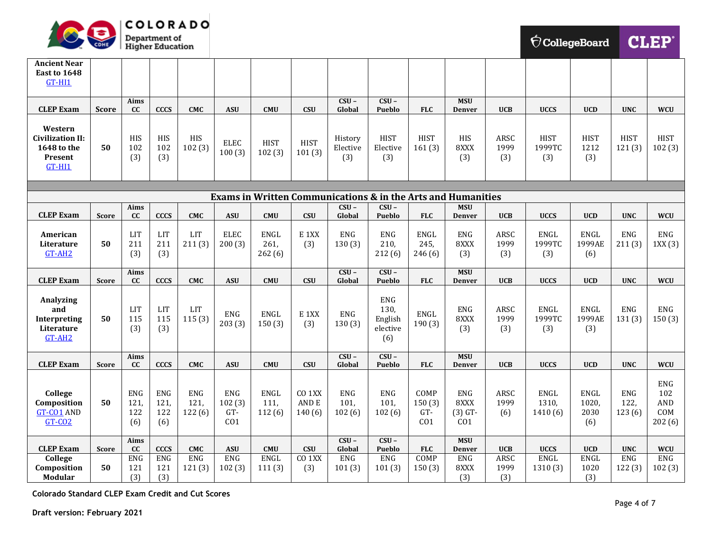

| <b>Ancient Near</b><br>East to 1648<br>$GT-HI1$                          |              |                                  |                                  |                              |                                                |                               |                                       |                              |                                                  |                                          |                                                                         |                     |                                 |                                     |                              |                                    |
|--------------------------------------------------------------------------|--------------|----------------------------------|----------------------------------|------------------------------|------------------------------------------------|-------------------------------|---------------------------------------|------------------------------|--------------------------------------------------|------------------------------------------|-------------------------------------------------------------------------|---------------------|---------------------------------|-------------------------------------|------------------------------|------------------------------------|
| <b>CLEP Exam</b>                                                         | <b>Score</b> | Aims<br>cc                       | <b>CCCS</b>                      | <b>CMC</b>                   | <b>ASU</b>                                     | <b>CMU</b>                    | <b>CSU</b>                            | $CSU -$<br>Global            | $CSU -$<br>Pueblo                                | <b>FLC</b>                               | <b>MSU</b><br><b>Denver</b>                                             | <b>UCB</b>          | <b>UCCS</b>                     | <b>UCD</b>                          | <b>UNC</b>                   | <b>WCU</b>                         |
| Western<br><b>Civilization II:</b><br>1648 to the<br>Present<br>$GT-HI1$ | 50           | HIS<br>102<br>(3)                | <b>HIS</b><br>102<br>(3)         | HIS<br>102(3)                | <b>ELEC</b><br>100(3)                          | <b>HIST</b><br>102(3)         | <b>HIST</b><br>101(3)                 | History<br>Elective<br>(3)   | <b>HIST</b><br>Elective<br>(3)                   | <b>HIST</b><br>161(3)                    | HIS<br>8XXX<br>(3)                                                      | ARSC<br>1999<br>(3) | <b>HIST</b><br>1999TC<br>(3)    | <b>HIST</b><br>1212<br>(3)          | <b>HIST</b><br>121(3)        | <b>HIST</b><br>102(3)              |
|                                                                          |              |                                  |                                  |                              |                                                |                               |                                       |                              |                                                  |                                          | <b>Exams in Written Communications &amp; in the Arts and Humanities</b> |                     |                                 |                                     |                              |                                    |
|                                                                          |              | Aims                             |                                  |                              |                                                |                               |                                       | $CSU -$                      | $CSU -$                                          |                                          | <b>MSU</b>                                                              |                     |                                 |                                     |                              |                                    |
| <b>CLEP Exam</b>                                                         | <b>Score</b> | cc                               | <b>CCCS</b>                      | <b>CMC</b>                   | <b>ASU</b>                                     | <b>CMU</b>                    | <b>CSU</b>                            | Global                       | Pueblo                                           | <b>FLC</b>                               | <b>Denver</b>                                                           | <b>UCB</b>          | <b>UCCS</b>                     | <b>UCD</b>                          | <b>UNC</b>                   | <b>WCU</b>                         |
| American<br>Literature<br>GT-AH2                                         | 50           | <b>LIT</b><br>211<br>(3)         | <b>LIT</b><br>211<br>(3)         | <b>LIT</b><br>211(3)         | <b>ELEC</b><br>200(3)                          | <b>ENGL</b><br>261,<br>262(6) | E 1XX<br>(3)                          | <b>ENG</b><br>130(3)         | <b>ENG</b><br>210,<br>212(6)                     | <b>ENGL</b><br>245,<br>246(6)            | <b>ENG</b><br>8XXX<br>(3)                                               | ARSC<br>1999<br>(3) | ENGL<br>1999TC<br>(3)           | <b>ENGL</b><br>1999AE<br>(6)        | <b>ENG</b><br>211(3)         | <b>ENG</b><br>1XX(3)               |
| <b>CLEP Exam</b>                                                         | <b>Score</b> | Aims<br>cc                       | <b>CCCS</b>                      | <b>CMC</b>                   | <b>ASU</b>                                     | <b>CMU</b>                    | <b>CSU</b>                            | $CSU -$<br>Global            | $CSU -$<br><b>Pueblo</b>                         | <b>FLC</b>                               | <b>MSU</b><br><b>Denver</b>                                             | <b>UCB</b>          | <b>UCCS</b>                     | <b>UCD</b>                          | <b>UNC</b>                   | <b>WCU</b>                         |
| Analyzing<br>and<br>Interpreting<br>Literature<br>$GT-AH2$               | 50           | LIT<br>115<br>(3)                | LIT<br>115<br>(3)                | <b>LIT</b><br>115(3)         | <b>ENG</b><br>203(3)                           | <b>ENGL</b><br>150(3)         | E <sub>1</sub> XX<br>(3)              | <b>ENG</b><br>130(3)         | <b>ENG</b><br>130,<br>English<br>elective<br>(6) | <b>ENGL</b><br>190(3)                    | <b>ENG</b><br>8XXX<br>(3)                                               | ARSC<br>1999<br>(3) | <b>ENGL</b><br>1999TC<br>(3)    | <b>ENGL</b><br>1999AE<br>(3)        | <b>ENG</b><br>131(3)         | <b>ENG</b><br>150(3)               |
| <b>CLEP Exam</b>                                                         | <b>Score</b> | Aims<br>cc                       | <b>CCCS</b>                      | <b>CMC</b>                   | <b>ASU</b>                                     | <b>CMU</b>                    | <b>CSU</b>                            | $CSU -$<br>Global            | $CSU -$<br>Pueblo                                | <b>FLC</b>                               | <b>MSU</b><br><b>Denver</b>                                             | <b>UCB</b>          | <b>UCCS</b>                     | <b>UCD</b>                          | <b>UNC</b>                   | <b>WCU</b>                         |
| College<br>Composition<br><b>GT-CO1 AND</b><br>$GT$ - $CO2$              | 50           | <b>ENG</b><br>121,<br>122<br>(6) | <b>ENG</b><br>121,<br>122<br>(6) | <b>ENG</b><br>121,<br>122(6) | <b>ENG</b><br>102(3)<br>GT-<br>CO <sub>1</sub> | <b>ENGL</b><br>111,<br>112(6) | CO <sub>1</sub> XX<br>AND E<br>140(6) | <b>ENG</b><br>101,<br>102(6) | <b>ENG</b><br>101,<br>102(6)                     | COMP<br>150(3)<br>GT-<br>CO <sub>1</sub> | <b>ENG</b><br>8XXX<br>$(3)$ GT-<br>CO <sub>1</sub>                      | ARSC<br>1999<br>(6) | <b>ENGL</b><br>1310,<br>1410(6) | <b>ENGL</b><br>1020,<br>2030<br>(6) | <b>ENG</b><br>122,<br>123(6) | ENG<br>102<br>AND<br>COM<br>202(6) |
| <b>CLEP Exam</b>                                                         | <b>Score</b> | Aims<br>cc                       | <b>CCCS</b>                      | <b>CMC</b>                   | <b>ASU</b>                                     | <b>CMU</b>                    | <b>CSU</b>                            | $CSU -$<br>Global            | $CSU -$<br>Pueblo                                | <b>FLC</b>                               | <b>MSU</b><br><b>Denver</b>                                             | <b>UCB</b>          | <b>UCCS</b>                     | <b>UCD</b>                          | <b>UNC</b>                   | <b>WCU</b>                         |
| College<br>Composition<br>Modular                                        | 50           | <b>ENG</b><br>121<br>(3)         | <b>ENG</b><br>121<br>(3)         | <b>ENG</b><br>121(3)         | <b>ENG</b><br>102(3)                           | ENGL<br>111(3)                | CO <sub>1</sub> XX<br>(3)             | ENG<br>101(3)                | ${\rm ENG}$<br>101(3)                            | <b>COMP</b><br>150(3)                    | ENG<br>8XXX<br>(3)                                                      | ARSC<br>1999<br>(3) | ENGL<br>1310 (3)                | <b>ENGL</b><br>1020<br>(3)          | <b>ENG</b><br>122(3)         | ENG<br>102(3)                      |

**Colorado Standard CLEP Exam Credit and Cut Scores**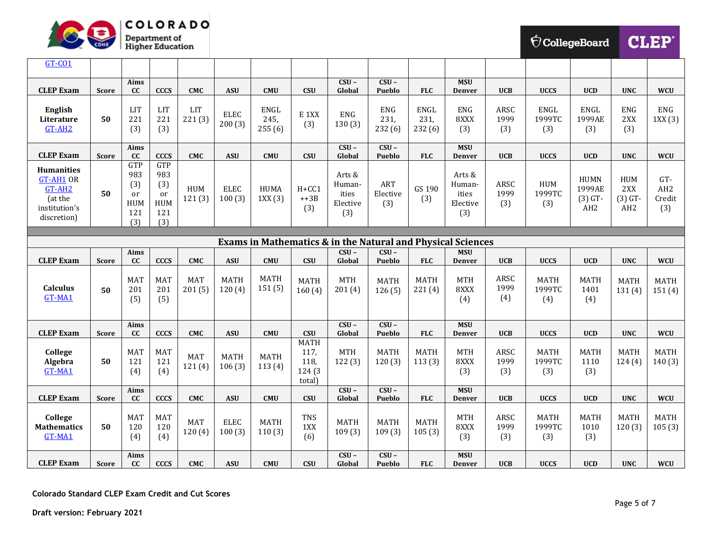

| <b>CollegeBoard</b> |  |
|---------------------|--|
|                     |  |

CLEP<sup>®</sup>

| GT-CO1                                                                                     |              |                                                                       |                                                     |                      |                       |                        |                                                 |                                              |                               |                               |                                              |                     |                              |                                                       |                                            |                                         |
|--------------------------------------------------------------------------------------------|--------------|-----------------------------------------------------------------------|-----------------------------------------------------|----------------------|-----------------------|------------------------|-------------------------------------------------|----------------------------------------------|-------------------------------|-------------------------------|----------------------------------------------|---------------------|------------------------------|-------------------------------------------------------|--------------------------------------------|-----------------------------------------|
| <b>CLEP Exam</b>                                                                           | <b>Score</b> | Aims<br>cc                                                            | <b>CCCS</b>                                         | <b>CMC</b>           | <b>ASU</b>            | <b>CMU</b>             | <b>CSU</b>                                      | $CSU -$<br>Global                            | $CSU -$<br>Pueblo             | <b>FLC</b>                    | <b>MSU</b><br><b>Denver</b>                  | <b>UCB</b>          | <b>UCCS</b>                  | <b>UCD</b>                                            | <b>UNC</b>                                 | <b>WCU</b>                              |
| English<br>Literature<br>$GT-AH2$                                                          | 50           | LIT<br>221<br>(3)                                                     | <b>LIT</b><br>221<br>(3)                            | <b>LIT</b><br>221(3) | <b>ELEC</b><br>200(3) | ENGL<br>245,<br>255(6) | E <sub>1</sub> XX<br>(3)                        | <b>ENG</b><br>130(3)                         | ENG<br>231,<br>232(6)         | <b>ENGL</b><br>231,<br>232(6) | <b>ENG</b><br>8XXX<br>(3)                    | ARSC<br>1999<br>(3) | <b>ENGL</b><br>1999TC<br>(3) | ENGL<br>1999AE<br>(3)                                 | <b>ENG</b><br>2XX<br>(3)                   | ENG<br>1XX(3)                           |
| <b>CLEP Exam</b>                                                                           | <b>Score</b> | Aims<br>cc                                                            | <b>CCCS</b>                                         | <b>CMC</b>           | <b>ASU</b>            | <b>CMU</b>             | CSU                                             | $CSU -$<br>Global                            | $CSU -$<br>Pueblo             | <b>FLC</b>                    | <b>MSU</b><br><b>Denver</b>                  | <b>UCB</b>          | <b>UCCS</b>                  | <b>UCD</b>                                            | <b>UNC</b>                                 | <b>WCU</b>                              |
| <b>Humanities</b><br><b>GT-AH1 OR</b><br>GT-AH2<br>(at the<br>institution's<br>discretion) | 50           | <b>GTP</b><br>983<br>(3)<br><sub>or</sub><br><b>HUM</b><br>121<br>(3) | <b>GTP</b><br>983<br>(3)<br>or<br>HUM<br>121<br>(3) | <b>HUM</b><br>121(3) | <b>ELEC</b><br>100(3) | <b>HUMA</b><br>1XX(3)  | $H + CC1$<br>$++3B$<br>(3)                      | Arts &<br>Human-<br>ities<br>Elective<br>(3) | <b>ART</b><br>Elective<br>(3) | GS 190<br>(3)                 | Arts &<br>Human-<br>ities<br>Elective<br>(3) | ARSC<br>1999<br>(3) | HUM<br>1999TC<br>(3)         | <b>HUMN</b><br>1999AE<br>$(3)$ GT-<br>AH <sub>2</sub> | HUM<br>2XX<br>$(3)$ GT-<br>AH <sub>2</sub> | GT-<br>AH <sub>2</sub><br>Credit<br>(3) |
| Exams in Mathematics & in the Natural and Physical Sciences                                |              |                                                                       |                                                     |                      |                       |                        |                                                 |                                              |                               |                               |                                              |                     |                              |                                                       |                                            |                                         |
|                                                                                            |              | Aims                                                                  |                                                     |                      |                       |                        |                                                 | $CSU -$                                      | $CSU -$                       |                               | <b>MSU</b>                                   |                     |                              |                                                       |                                            |                                         |
| <b>CLEP Exam</b>                                                                           | <b>Score</b> | cc                                                                    | <b>CCCS</b>                                         | <b>CMC</b>           | <b>ASU</b>            | <b>CMU</b>             | <b>CSU</b>                                      | Global                                       | Pueblo                        | <b>FLC</b>                    | Denver                                       | <b>UCB</b>          | <b>UCCS</b>                  | <b>UCD</b>                                            | <b>UNC</b>                                 | <b>WCU</b>                              |
| <b>Calculus</b><br>GT-MA1                                                                  | 50           | <b>MAT</b><br>201<br>(5)                                              | <b>MAT</b><br>201<br>(5)                            | <b>MAT</b><br>201(5) | <b>MATH</b><br>120(4) | <b>MATH</b><br>151(5)  | <b>MATH</b><br>160(4)                           | <b>MTH</b><br>201(4)                         | <b>MATH</b><br>126(5)         | <b>MATH</b><br>221(4)         | <b>MTH</b><br>8XXX<br>(4)                    | ARSC<br>1999<br>(4) | <b>MATH</b><br>1999TC<br>(4) | <b>MATH</b><br>1401<br>(4)                            | <b>MATH</b><br>131(4)                      | <b>MATH</b><br>151(4)                   |
| <b>CLEP Exam</b>                                                                           | <b>Score</b> | Aims<br>cc                                                            | <b>CCCS</b>                                         | <b>CMC</b>           | <b>ASU</b>            | <b>CMU</b>             | <b>CSU</b>                                      | $CSU -$<br>Global                            | $CSU -$<br>Pueblo             | <b>FLC</b>                    | <b>MSU</b><br><b>Denver</b>                  | <b>UCB</b>          | <b>UCCS</b>                  | <b>UCD</b>                                            | <b>UNC</b>                                 | <b>WCU</b>                              |
| College<br>Algebra<br>GT-MA1                                                               | 50           | <b>MAT</b><br>121<br>(4)                                              | MAT<br>121<br>(4)                                   | <b>MAT</b><br>121(4) | <b>MATH</b><br>106(3) | <b>MATH</b><br>113(4)  | <b>MATH</b><br>117,<br>118,<br>124 (3<br>total) | <b>MTH</b><br>122(3)                         | <b>MATH</b><br>120(3)         | <b>MATH</b><br>113(3)         | <b>MTH</b><br>8XXX<br>(3)                    | ARSC<br>1999<br>(3) | <b>MATH</b><br>1999TC<br>(3) | <b>MATH</b><br>1110<br>(3)                            | <b>MATH</b><br>124(4)                      | <b>MATH</b><br>140(3)                   |
| <b>CLEP Exam</b>                                                                           | <b>Score</b> | Aims<br>cc                                                            | <b>CCCS</b>                                         | <b>CMC</b>           | <b>ASU</b>            | <b>CMU</b>             | <b>CSU</b>                                      | $CSU -$<br>Global                            | $CSU -$<br>Pueblo             | <b>FLC</b>                    | <b>MSU</b><br><b>Denver</b>                  | <b>UCB</b>          | <b>UCCS</b>                  | <b>UCD</b>                                            | <b>UNC</b>                                 | <b>WCU</b>                              |
| College<br><b>Mathematics</b><br>GT-MA1                                                    | 50           | <b>MAT</b><br>120<br>(4)                                              | <b>MAT</b><br>120<br>(4)                            | <b>MAT</b><br>120(4) | <b>ELEC</b><br>100(3) | <b>MATH</b><br>110(3)  | <b>TNS</b><br>1XX<br>(6)                        | <b>MATH</b><br>109(3)                        | <b>MATH</b><br>109(3)         | <b>MATH</b><br>105(3)         | <b>MTH</b><br>8XXX<br>(3)                    | ARSC<br>1999<br>(3) | <b>MATH</b><br>1999TC<br>(3) | <b>MATH</b><br>1010<br>(3)                            | <b>MATH</b><br>120(3)                      | <b>MATH</b><br>105(3)                   |
| <b>CLEP Exam</b>                                                                           | <b>Score</b> | Aims<br>cc                                                            | <b>CCCS</b>                                         | <b>CMC</b>           | <b>ASU</b>            | <b>CMU</b>             | CSU                                             | $CSU -$<br>Global                            | $CSU -$<br>Pueblo             | <b>FLC</b>                    | <b>MSU</b><br><b>Denver</b>                  | <b>UCB</b>          | <b>UCCS</b>                  | <b>UCD</b>                                            | <b>UNC</b>                                 | <b>WCU</b>                              |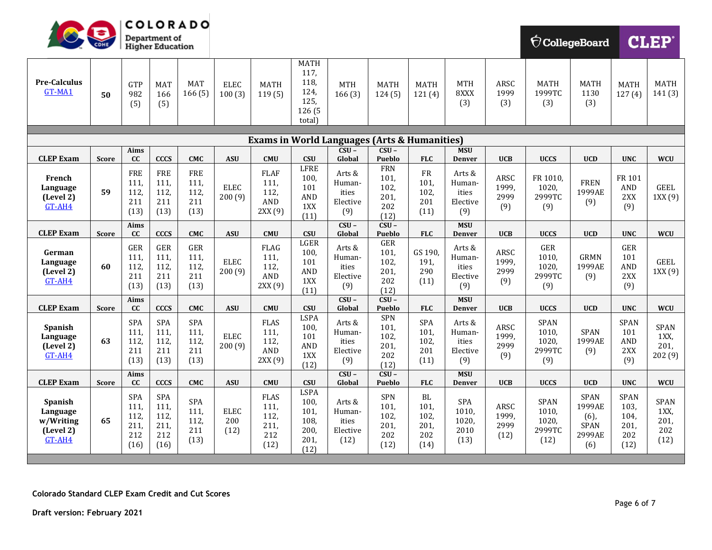

| COHE                                                           |              |                                            | <b>Department of</b><br>Higher Education   |                                           |                            |                                                     |                                                                 |                                                                    |                                                   |                                           |                                              |                               |                                                |                                                                  | $\bigtriangledown$ CollegeBoard<br><b>CLEP</b>     |                                           |
|----------------------------------------------------------------|--------------|--------------------------------------------|--------------------------------------------|-------------------------------------------|----------------------------|-----------------------------------------------------|-----------------------------------------------------------------|--------------------------------------------------------------------|---------------------------------------------------|-------------------------------------------|----------------------------------------------|-------------------------------|------------------------------------------------|------------------------------------------------------------------|----------------------------------------------------|-------------------------------------------|
| <b>Pre-Calculus</b><br>GT-MA1                                  | 50           | GTP<br>982<br>(5)                          | <b>MAT</b><br>166<br>(5)                   | <b>MAT</b><br>166(5)                      | <b>ELEC</b><br>100(3)      | <b>MATH</b><br>119(5)                               | <b>MATH</b><br>117,<br>118,<br>124,<br>125,<br>126 (5<br>total) | <b>MTH</b><br>166(3)                                               | <b>MATH</b><br>124(5)                             | <b>MATH</b><br>121(4)                     | <b>MTH</b><br>8XXX<br>(3)                    | ARSC<br>1999<br>(3)           | <b>MATH</b><br>1999TC<br>(3)                   | <b>MATH</b><br>1130<br>(3)                                       | <b>MATH</b><br>127(4)                              | <b>MATH</b><br>141(3)                     |
|                                                                |              |                                            |                                            |                                           |                            |                                                     |                                                                 |                                                                    |                                                   |                                           |                                              |                               |                                                |                                                                  |                                                    |                                           |
|                                                                |              | Aims                                       |                                            |                                           |                            |                                                     |                                                                 | <b>Exams in World Languages (Arts &amp; Humanities)</b><br>$CSU -$ | $CSU -$                                           |                                           | <b>MSU</b>                                   |                               |                                                |                                                                  |                                                    |                                           |
| <b>CLEP Exam</b>                                               | <b>Score</b> | cc                                         | <b>CCCS</b>                                | <b>CMC</b>                                | <b>ASU</b>                 | <b>CMU</b>                                          | <b>CSU</b>                                                      | Global                                                             | Pueblo                                            | <b>FLC</b>                                | <b>Denver</b>                                | <b>UCB</b>                    | <b>UCCS</b>                                    | <b>UCD</b>                                                       | <b>UNC</b>                                         | <b>WCU</b>                                |
| French<br>Language<br>(Level 2)<br>$GT-AH4$                    | 59           | FRE<br>111,<br>112,<br>211<br>(13)         | <b>FRE</b><br>111,<br>112,<br>211<br>(13)  | <b>FRE</b><br>111,<br>112,<br>211<br>(13) | <b>ELEC</b><br>200(9)      | <b>FLAF</b><br>111,<br>112,<br>AND<br>2XX(9)        | <b>LFRE</b><br>100,<br>101<br><b>AND</b><br>1XX<br>(11)         | Arts &<br>Human-<br>ities<br>Elective<br>(9)                       | <b>FRN</b><br>101,<br>102,<br>201,<br>202<br>(12) | ${\rm FR}$<br>101,<br>102,<br>201<br>(11) | Arts &<br>Human-<br>ities<br>Elective<br>(9) | ARSC<br>1999,<br>2999<br>(9)  | FR 1010,<br>1020,<br>2999TC<br>(9)             | <b>FREN</b><br>1999AE<br>(9)                                     | FR 101<br>AND<br>2XX<br>(9)                        | <b>GEEL</b><br>1XX(9)                     |
| <b>CLEP Exam</b>                                               | <b>Score</b> | Aims<br>cc                                 | <b>CCCS</b>                                | <b>CMC</b>                                | <b>ASU</b>                 | <b>CMU</b>                                          | <b>CSU</b>                                                      | $CSU -$<br>Global                                                  | $CSU -$<br><b>Pueblo</b>                          | <b>FLC</b>                                | <b>MSU</b><br><b>Denver</b>                  | <b>UCB</b>                    | <b>UCCS</b>                                    | <b>UCD</b>                                                       | <b>UNC</b>                                         | <b>WCU</b>                                |
| German<br>Language<br>(Level 2)<br>GT-AH4                      | 60           | GER<br>111,<br>112<br>211<br>(13)          | GER<br>111,<br>112,<br>211<br>(13)         | GER<br>111,<br>112,<br>211<br>(13)        | <b>ELEC</b><br>200(9)      | <b>FLAG</b><br>111,<br>112,<br>AND<br>2XX(9)        | LGER<br>100,<br>101<br>AND<br>1XX<br>(11)                       | Arts &<br>Human-<br>ities<br>Elective<br>(9)                       | GER<br>101,<br>102,<br>201,<br>202<br>(12)        | GS 190,<br>191,<br>290<br>(11)            | Arts &<br>Human-<br>ities<br>Elective<br>(9) | ARSC<br>1999,<br>2999<br>(9)  | GER<br>1010,<br>1020,<br>2999TC<br>(9)         | <b>GRMN</b><br>1999AE<br>(9)                                     | GER<br>101<br>AND<br>2XX<br>(9)                    | <b>GEEL</b><br>1XX(9)                     |
| <b>CLEP Exam</b>                                               | <b>Score</b> | Aims<br>cc                                 | <b>CCCS</b>                                | <b>CMC</b>                                | <b>ASU</b>                 | <b>CMU</b>                                          | <b>CSU</b>                                                      | $CSU -$<br>Global                                                  | $CSU -$<br>Pueblo                                 | <b>FLC</b>                                | <b>MSU</b><br><b>Denver</b>                  | <b>UCB</b>                    | <b>UCCS</b>                                    | <b>UCD</b>                                                       | <b>UNC</b>                                         | <b>WCU</b>                                |
| Spanish<br>Language<br>(Level 2)<br>GT-AH4                     | 63           | <b>SPA</b><br>111,<br>112,<br>211<br>(13)  | SPA<br>111,<br>112,<br>211<br>(13)         | SPA<br>111,<br>112,<br>211<br>(13)        | <b>ELEC</b><br>200(9)      | <b>FLAS</b><br>111,<br>112,<br><b>AND</b><br>2XX(9) | <b>LSPA</b><br>100,<br>101<br>AND<br>1XX<br>(12)                | Arts &<br>Human-<br>ities<br>Elective<br>(9)                       | <b>SPN</b><br>101,<br>102,<br>201,<br>202<br>(12) | SPA<br>101,<br>102,<br>201<br>(11)        | Arts &<br>Human-<br>ities<br>Elective<br>(9) | ARSC<br>1999,<br>2999<br>(9)  | <b>SPAN</b><br>1010,<br>1020,<br>2999TC<br>(9) | SPAN<br>1999AE<br>(9)                                            | <b>SPAN</b><br>101<br>AND<br>2XX<br>(9)            | SPAN<br>1XX,<br>201,<br>202 (9)           |
| <b>CLEP Exam</b>                                               | <b>Score</b> | Aims<br>cc                                 | <b>CCCS</b>                                | <b>CMC</b>                                | <b>ASU</b>                 | <b>CMU</b>                                          | <b>CSU</b>                                                      | $CSU -$<br>Global                                                  | $CSU -$<br>Pueblo                                 | <b>FLC</b>                                | <b>MSU</b><br><b>Denver</b>                  | <b>UCB</b>                    | <b>UCCS</b>                                    | <b>UCD</b>                                                       | <b>UNC</b>                                         | <b>WCU</b>                                |
| <b>Spanish</b><br>Language<br>w/Writing<br>(Level 2)<br>GT-AH4 | 65           | SPA<br>111.<br>112,<br>211,<br>212<br>(16) | SPA<br>111,<br>112,<br>211,<br>212<br>(16) | SPA<br>111,<br>112,<br>211<br>(13)        | <b>ELEC</b><br>200<br>(12) | <b>FLAS</b><br>111,<br>112,<br>211,<br>212<br>(12)  | <b>LSPA</b><br>100,<br>101,<br>108,<br>200,<br>201,<br>(12)     | Arts &<br>Human-<br>ities<br>Elective<br>(12)                      | SPN<br>101,<br>102,<br>201,<br>202<br>(12)        | BL<br>101,<br>102,<br>201,<br>202<br>(14) | SPA<br>1010,<br>1020,<br>2010<br>(13)        | ARSC<br>1999,<br>2999<br>(12) | SPAN<br>1010,<br>1020,<br>2999TC<br>(12)       | <b>SPAN</b><br>1999AE<br>$(6)$ ,<br><b>SPAN</b><br>2999AE<br>(6) | <b>SPAN</b><br>103,<br>104,<br>201,<br>202<br>(12) | <b>SPAN</b><br>1XX<br>201,<br>202<br>(12) |